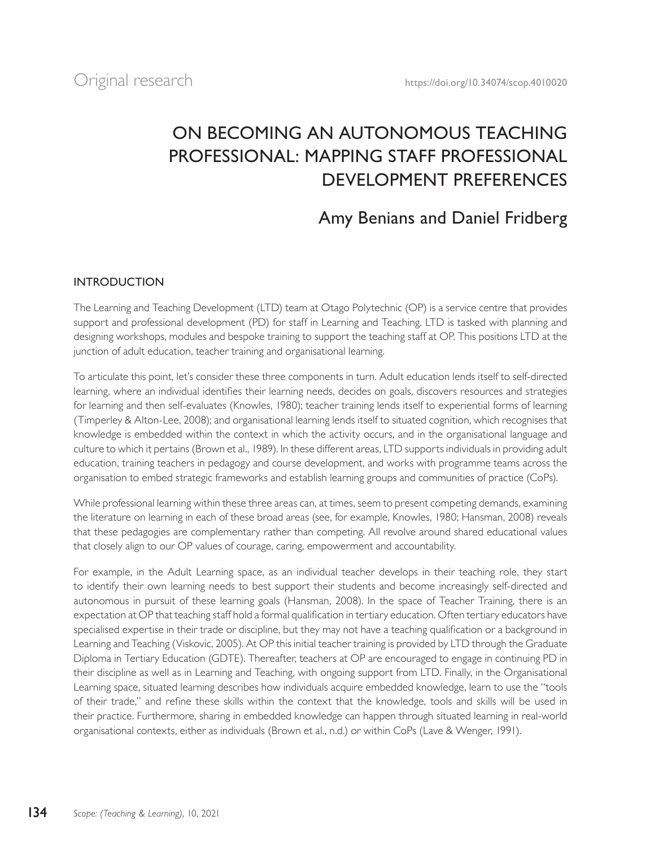# ON BECOMING AN AUTONOMOUS TEACHING PROFESSIONAL: MAPPING STAFF PROFESSIONAL DEVELOPMENT PREFERENCES

# Amy Benians and Daniel Fridberg

## INTRODUCTION

The Learning and Teaching Development (LTD) team at Otago Polytechnic (OP) is a service centre that provides support and professional development (PD) for staff in Learning and Teaching. LTD is tasked with planning and designing workshops, modules and bespoke training to support the teaching staff at OP. This positions LTD at the junction of adult education, teacher training and organisational learning.

To articulate this point, let's consider these three components in turn. Adult education lends itself to self-directed learning, where an individual identifies their learning needs, decides on goals, discovers resources and strategies for learning and then self-evaluates (Knowles, 1980); teacher training lends itself to experiential forms of learning (Timperley & Alton-Lee, 2008); and organisational learning lends itself to situated cognition, which recognises that knowledge is embedded within the context in which the activity occurs, and in the organisational language and culture to which it pertains (Brown et al., 1989). In these different areas, LTD supports individuals in providing adult education, training teachers in pedagogy and course development, and works with programme teams across the organisation to embed strategic frameworks and establish learning groups and communities of practice (CoPs).

While professional learning within these three areas can, at times, seem to present competing demands, examining the literature on learning in each of these broad areas (see, for example, Knowles, 1980; Hansman, 2008) reveals that these pedagogies are complementary rather than competing. All revolve around shared educational values that closely align to our OP values of courage, caring, empowerment and accountability.

For example, in the Adult Learning space, as an individual teacher develops in their teaching role, they start to identify their own learning needs to best support their students and become increasingly self-directed and autonomous in pursuit of these learning goals (Hansman, 2008). In the space of Teacher Training, there is an expectation at OP that teaching staff hold a formal qualification in tertiary education. Often tertiary educators have specialised expertise in their trade or discipline, but they may not have a teaching qualification or a background in Learning and Teaching (Viskovic, 2005). At OP this initial teacher training is provided by LTD through the Graduate Diploma in Tertiary Education (GDTE). Thereafter, teachers at OP are encouraged to engage in continuing PD in their discipline as well as in Learning and Teaching, with ongoing support from LTD. Finally, in the Organisational Learning space, situated learning describes how individuals acquire embedded knowledge, learn to use the "tools of their trade," and refine these skills within the context that the knowledge, tools and skills will be used in their practice. Furthermore, sharing in embedded knowledge can happen through situated learning in real-world organisational contexts, either as individuals (Brown et al., n.d.) or within CoPs (Lave & Wenger, 1991).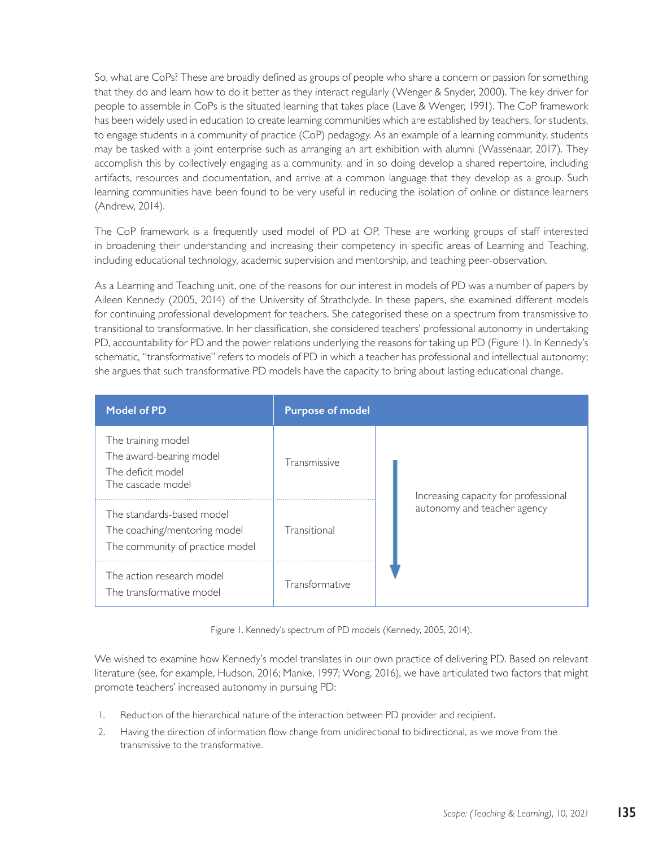So, what are CoPs? These are broadly defined as groups of people who share a concern or passion for something that they do and learn how to do it better as they interact regularly (Wenger & Snyder, 2000). The key driver for people to assemble in CoPs is the situated learning that takes place (Lave & Wenger, 1991). The CoP framework has been widely used in education to create learning communities which are established by teachers, for students, to engage students in a community of practice (CoP) pedagogy. As an example of a learning community, students may be tasked with a joint enterprise such as arranging an art exhibition with alumni (Wassenaar, 2017). They accomplish this by collectively engaging as a community, and in so doing develop a shared repertoire, including artifacts, resources and documentation, and arrive at a common language that they develop as a group. Such learning communities have been found to be very useful in reducing the isolation of online or distance learners (Andrew, 2014).

The CoP framework is a frequently used model of PD at OP. These are working groups of staff interested in broadening their understanding and increasing their competency in specific areas of Learning and Teaching, including educational technology, academic supervision and mentorship, and teaching peer-observation.

As a Learning and Teaching unit, one of the reasons for our interest in models of PD was a number of papers by Aileen Kennedy (2005, 2014) of the University of Strathclyde. In these papers, she examined different models for continuing professional development for teachers. She categorised these on a spectrum from transmissive to transitional to transformative. In her classification, she considered teachers' professional autonomy in undertaking PD, accountability for PD and the power relations underlying the reasons for taking up PD (Figure 1). In Kennedy's schematic, "transformative" refers to models of PD in which a teacher has professional and intellectual autonomy; she argues that such transformative PD models have the capacity to bring about lasting educational change.

| <b>Model of PD</b>                                                                           | <b>Purpose of model</b> |                                      |  |
|----------------------------------------------------------------------------------------------|-------------------------|--------------------------------------|--|
| The training model<br>The award-bearing model<br>The deficit model<br>The cascade model      | Transmissive            | Increasing capacity for professional |  |
| The standards-based model<br>The coaching/mentoring model<br>The community of practice model | Transitional            | autonomy and teacher agency          |  |
| The action research model<br>The transformative model                                        | Transformative          |                                      |  |

Figure 1. Kennedy's spectrum of PD models (Kennedy, 2005, 2014).

We wished to examine how Kennedy's model translates in our own practice of delivering PD. Based on relevant literature (see, for example, Hudson, 2016; Manke, 1997; Wong, 2016), we have articulated two factors that might promote teachers' increased autonomy in pursuing PD:

- 1. Reduction of the hierarchical nature of the interaction between PD provider and recipient.
- 2. Having the direction of information flow change from unidirectional to bidirectional, as we move from the transmissive to the transformative.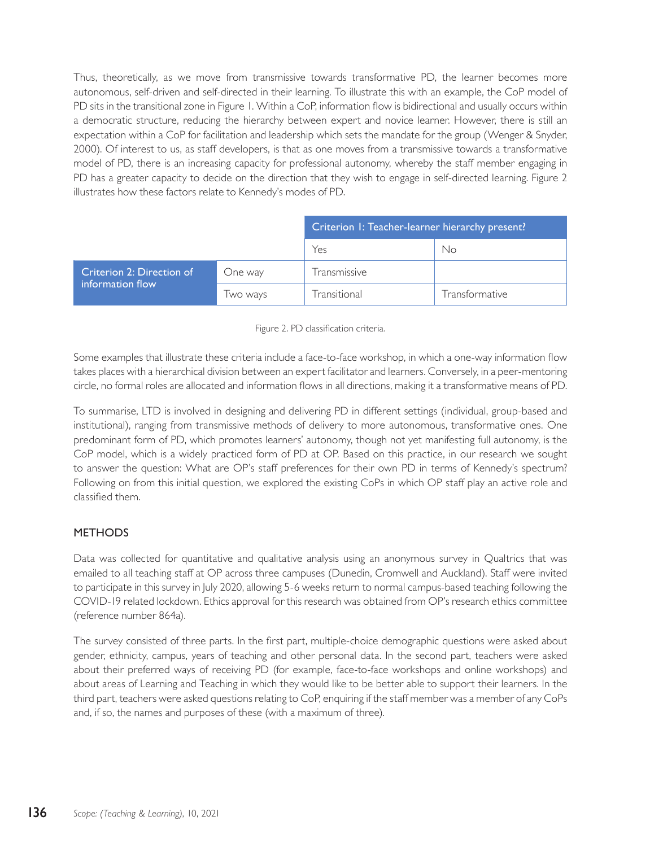Thus, theoretically, as we move from transmissive towards transformative PD, the learner becomes more autonomous, self-driven and self-directed in their learning. To illustrate this with an example, the CoP model of PD sits in the transitional zone in Figure 1. Within a CoP, information flow is bidirectional and usually occurs within a democratic structure, reducing the hierarchy between expert and novice learner. However, there is still an expectation within a CoP for facilitation and leadership which sets the mandate for the group (Wenger & Snyder, 2000). Of interest to us, as staff developers, is that as one moves from a transmissive towards a transformative model of PD, there is an increasing capacity for professional autonomy, whereby the staff member engaging in PD has a greater capacity to decide on the direction that they wish to engage in self-directed learning. Figure 2 illustrates how these factors relate to Kennedy's modes of PD.

|                                               |          | Criterion I: Teacher-learner hierarchy present? |                |
|-----------------------------------------------|----------|-------------------------------------------------|----------------|
|                                               |          | Yes                                             | No             |
| Criterion 2: Direction of<br>information flow | One way  | Transmissive                                    |                |
|                                               | Iwo ways | Transitional                                    | Transformative |



Some examples that illustrate these criteria include a face-to-face workshop, in which a one-way information flow takes places with a hierarchical division between an expert facilitator and learners. Conversely, in a peer-mentoring circle, no formal roles are allocated and information flows in all directions, making it a transformative means of PD.

To summarise, LTD is involved in designing and delivering PD in different settings (individual, group-based and institutional), ranging from transmissive methods of delivery to more autonomous, transformative ones. One predominant form of PD, which promotes learners' autonomy, though not yet manifesting full autonomy, is the CoP model, which is a widely practiced form of PD at OP. Based on this practice, in our research we sought to answer the question: What are OP's staff preferences for their own PD in terms of Kennedy's spectrum? Following on from this initial question, we explored the existing CoPs in which OP staff play an active role and classified them.

## **METHODS**

Data was collected for quantitative and qualitative analysis using an anonymous survey in Qualtrics that was emailed to all teaching staff at OP across three campuses (Dunedin, Cromwell and Auckland). Staff were invited to participate in this survey in July 2020, allowing 5-6 weeks return to normal campus-based teaching following the COVID-19 related lockdown. Ethics approval for this research was obtained from OP's research ethics committee (reference number 864a).

The survey consisted of three parts. In the first part, multiple-choice demographic questions were asked about gender, ethnicity, campus, years of teaching and other personal data. In the second part, teachers were asked about their preferred ways of receiving PD (for example, face-to-face workshops and online workshops) and about areas of Learning and Teaching in which they would like to be better able to support their learners. In the third part, teachers were asked questions relating to CoP, enquiring if the staff member was a member of any CoPs and, if so, the names and purposes of these (with a maximum of three).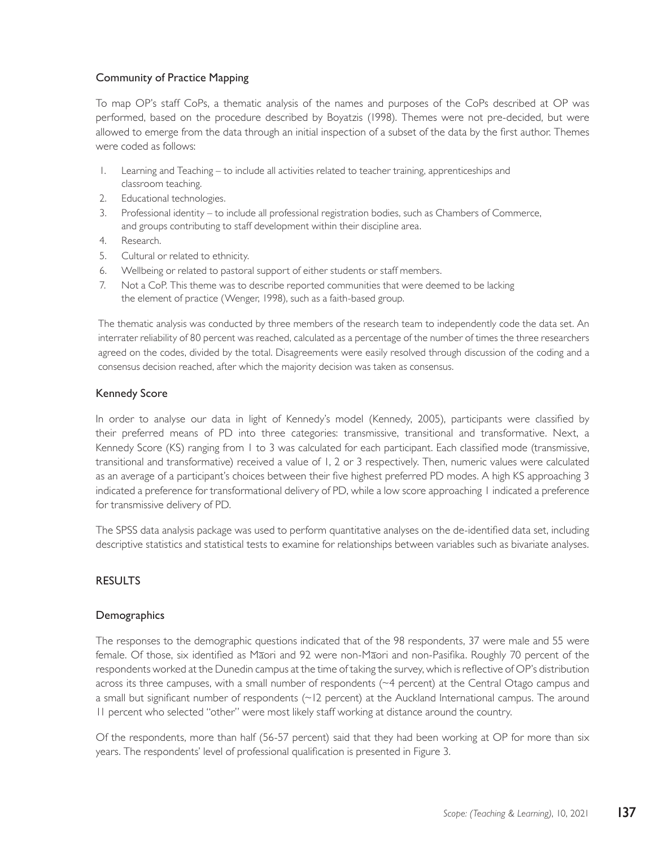### Community of Practice Mapping

To map OP's staff CoPs, a thematic analysis of the names and purposes of the CoPs described at OP was performed, based on the procedure described by Boyatzis (1998). Themes were not pre-decided, but were allowed to emerge from the data through an initial inspection of a subset of the data by the first author. Themes were coded as follows:

- 1. Learning and Teaching to include all activities related to teacher training, apprenticeships and classroom teaching.
- 2. Educational technologies.
- 3. Professional identity to include all professional registration bodies, such as Chambers of Commerce, and groups contributing to staff development within their discipline area.
- 4. Research.
- 5. Cultural or related to ethnicity.
- 6. Wellbeing or related to pastoral support of either students or staff members.
- 7. Not a CoP. This theme was to describe reported communities that were deemed to be lacking the element of practice (Wenger, 1998), such as a faith-based group.

The thematic analysis was conducted by three members of the research team to independently code the data set. An interrater reliability of 80 percent was reached, calculated as a percentage of the number of times the three researchers agreed on the codes, divided by the total. Disagreements were easily resolved through discussion of the coding and a consensus decision reached, after which the majority decision was taken as consensus.

#### Kennedy Score

In order to analyse our data in light of Kennedy's model (Kennedy, 2005), participants were classified by their preferred means of PD into three categories: transmissive, transitional and transformative. Next, a Kennedy Score (KS) ranging from 1 to 3 was calculated for each participant. Each classified mode (transmissive, transitional and transformative) received a value of 1, 2 or 3 respectively. Then, numeric values were calculated as an average of a participant's choices between their five highest preferred PD modes. A high KS approaching 3 indicated a preference for transformational delivery of PD, while a low score approaching 1 indicated a preference for transmissive delivery of PD.

The SPSS data analysis package was used to perform quantitative analyses on the de-identified data set, including descriptive statistics and statistical tests to examine for relationships between variables such as bivariate analyses.

#### **RESULTS**

#### Demographics

The responses to the demographic questions indicated that of the 98 respondents, 37 were male and 55 were female. Of those, six identified as Māori and 92 were non-Māori and non-Pasifika. Roughly 70 percent of the respondents worked at the Dunedin campus at the time of taking the survey, which is reflective of OP's distribution across its three campuses, with a small number of respondents (~4 percent) at the Central Otago campus and a small but significant number of respondents (~12 percent) at the Auckland International campus. The around 11 percent who selected "other" were most likely staff working at distance around the country.

Of the respondents, more than half (56-57 percent) said that they had been working at OP for more than six years. The respondents' level of professional qualification is presented in Figure 3.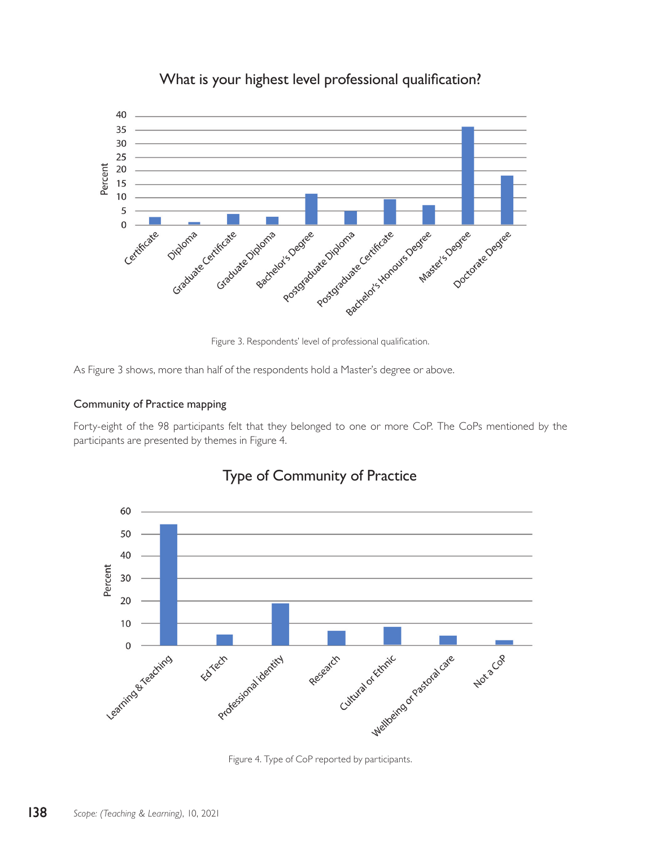

# What is your highest level professional qualification?

Figure 3. Respondents' level of professional qualification.

As Figure 3 shows, more than half of the respondents hold a Master's degree or above.

### Community of Practice mapping

Forty-eight of the 98 participants felt that they belonged to one or more CoP. The CoPs mentioned by the participants are presented by themes in Figure 4.



# Type of Community of Practice

Figure 4. Type of CoP reported by participants.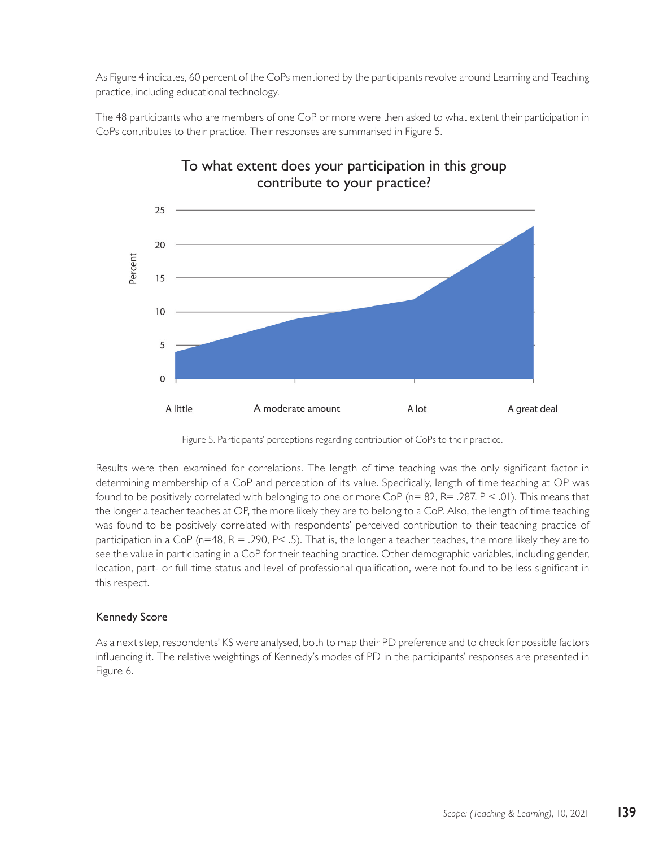As Figure 4 indicates, 60 percent of the CoPs mentioned by the participants revolve around Learning and Teaching practice, including educational technology.

The 48 participants who are members of one CoP or more were then asked to what extent their participation in CoPs contributes to their practice. Their responses are summarised in Figure 5.



# To what extent does your participation in this group contribute to your practice?

Figure 5. Participants' perceptions regarding contribution of CoPs to their practice.

Results were then examined for correlations. The length of time teaching was the only significant factor in determining membership of a CoP and perception of its value. Specifically, length of time teaching at OP was found to be positively correlated with belonging to one or more CoP ( $n= 82$ ,  $R = .287$ . P < .01). This means that the longer a teacher teaches at OP, the more likely they are to belong to a CoP. Also, the length of time teaching was found to be positively correlated with respondents' perceived contribution to their teaching practice of participation in a CoP (n=48, R = .290, P< .5). That is, the longer a teacher teaches, the more likely they are to see the value in participating in a CoP for their teaching practice. Other demographic variables, including gender, location, part- or full-time status and level of professional qualification, were not found to be less significant in this respect.

## Kennedy Score

As a next step, respondents' KS were analysed, both to map their PD preference and to check for possible factors influencing it. The relative weightings of Kennedy's modes of PD in the participants' responses are presented in Figure 6.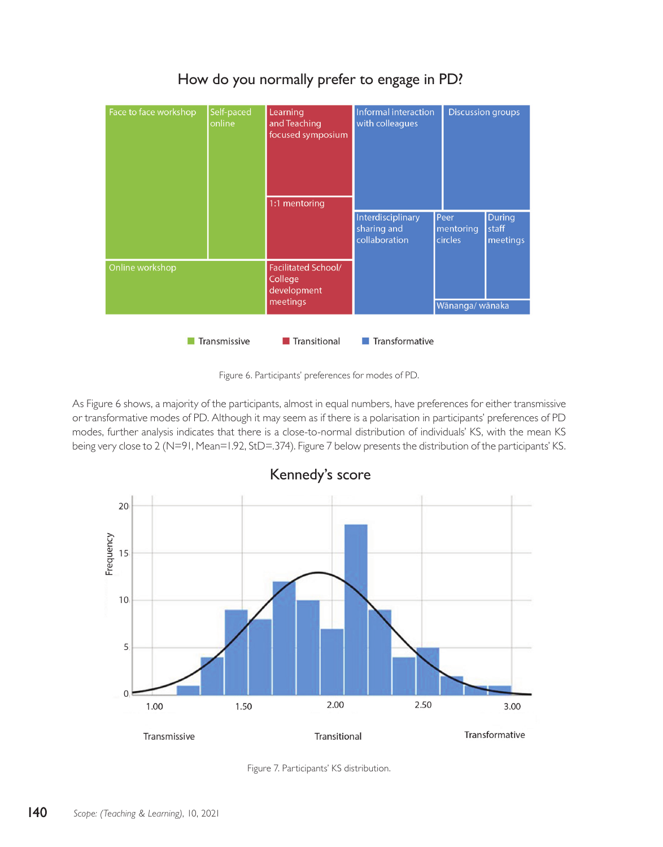

# How do you normally prefer to engage in PD?

Figure 6. Participants' preferences for modes of PD.

As Figure 6 shows, a majority of the participants, almost in equal numbers, have preferences for either transmissive or transformative modes of PD. Although it may seem as if there is a polarisation in participants' preferences of PD modes, further analysis indicates that there is a close-to-normal distribution of individuals' KS, with the mean KS being very close to 2 (N=91, Mean=1.92, StD=.374). Figure 7 below presents the distribution of the participants' KS.



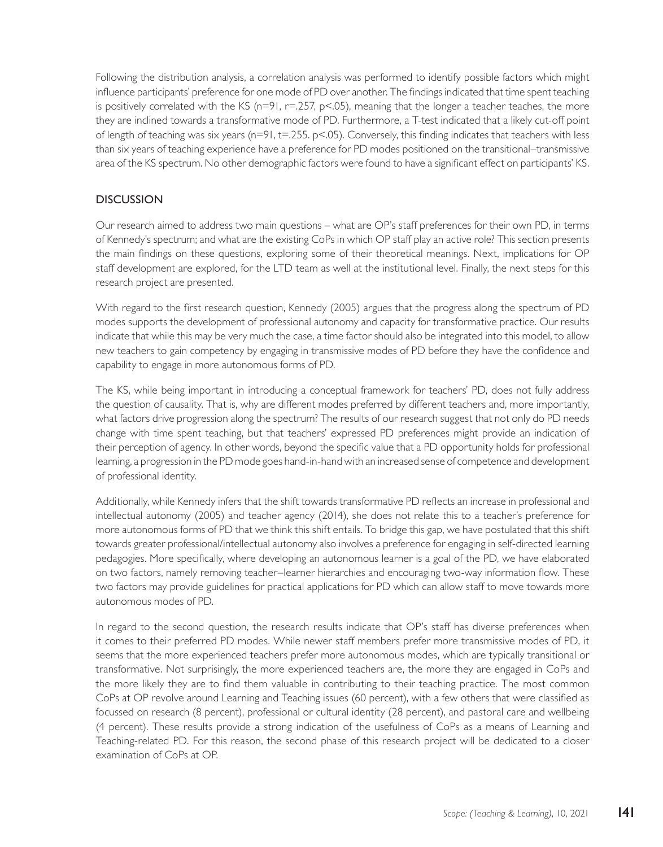Following the distribution analysis, a correlation analysis was performed to identify possible factors which might influence participants' preference for one mode of PD over another. The findings indicated that time spent teaching is positively correlated with the KS (n=91, r=.257, p<.05), meaning that the longer a teacher teaches, the more they are inclined towards a transformative mode of PD. Furthermore, a T-test indicated that a likely cut-off point of length of teaching was six years ( $n=91$ ,  $t=.255$ .  $p<.05$ ). Conversely, this finding indicates that teachers with less than six years of teaching experience have a preference for PD modes positioned on the transitional–transmissive area of the KS spectrum. No other demographic factors were found to have a significant effect on participants' KS.

## **DISCUSSION**

Our research aimed to address two main questions – what are OP's staff preferences for their own PD, in terms of Kennedy's spectrum; and what are the existing CoPs in which OP staff play an active role? This section presents the main findings on these questions, exploring some of their theoretical meanings. Next, implications for OP staff development are explored, for the LTD team as well at the institutional level. Finally, the next steps for this research project are presented.

With regard to the first research question, Kennedy (2005) argues that the progress along the spectrum of PD modes supports the development of professional autonomy and capacity for transformative practice. Our results indicate that while this may be very much the case, a time factor should also be integrated into this model, to allow new teachers to gain competency by engaging in transmissive modes of PD before they have the confidence and capability to engage in more autonomous forms of PD.

The KS, while being important in introducing a conceptual framework for teachers' PD, does not fully address the question of causality. That is, why are different modes preferred by different teachers and, more importantly, what factors drive progression along the spectrum? The results of our research suggest that not only do PD needs change with time spent teaching, but that teachers' expressed PD preferences might provide an indication of their perception of agency. In other words, beyond the specific value that a PD opportunity holds for professional learning, a progression in the PD mode goes hand-in-hand with an increased sense of competence and development of professional identity.

Additionally, while Kennedy infers that the shift towards transformative PD reflects an increase in professional and intellectual autonomy (2005) and teacher agency (2014), she does not relate this to a teacher's preference for more autonomous forms of PD that we think this shift entails. To bridge this gap, we have postulated that this shift towards greater professional/intellectual autonomy also involves a preference for engaging in self-directed learning pedagogies. More specifically, where developing an autonomous learner is a goal of the PD, we have elaborated on two factors, namely removing teacher–learner hierarchies and encouraging two-way information flow. These two factors may provide guidelines for practical applications for PD which can allow staff to move towards more autonomous modes of PD.

In regard to the second question, the research results indicate that OP's staff has diverse preferences when it comes to their preferred PD modes. While newer staff members prefer more transmissive modes of PD, it seems that the more experienced teachers prefer more autonomous modes, which are typically transitional or transformative. Not surprisingly, the more experienced teachers are, the more they are engaged in CoPs and the more likely they are to find them valuable in contributing to their teaching practice. The most common CoPs at OP revolve around Learning and Teaching issues (60 percent), with a few others that were classified as focussed on research (8 percent), professional or cultural identity (28 percent), and pastoral care and wellbeing (4 percent). These results provide a strong indication of the usefulness of CoPs as a means of Learning and Teaching-related PD. For this reason, the second phase of this research project will be dedicated to a closer examination of CoPs at OP.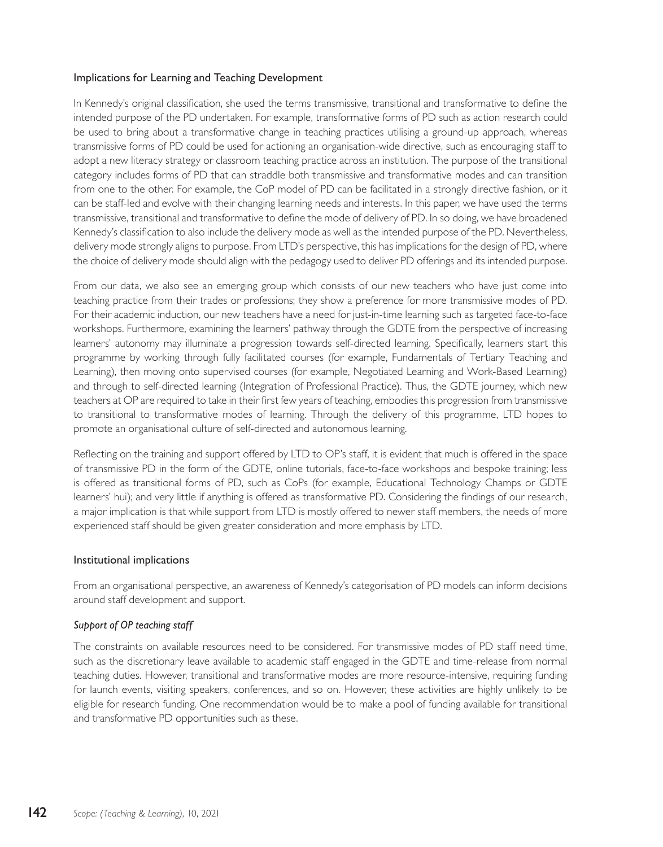#### Implications for Learning and Teaching Development

In Kennedy's original classification, she used the terms transmissive, transitional and transformative to define the intended purpose of the PD undertaken. For example, transformative forms of PD such as action research could be used to bring about a transformative change in teaching practices utilising a ground-up approach, whereas transmissive forms of PD could be used for actioning an organisation-wide directive, such as encouraging staff to adopt a new literacy strategy or classroom teaching practice across an institution. The purpose of the transitional category includes forms of PD that can straddle both transmissive and transformative modes and can transition from one to the other. For example, the CoP model of PD can be facilitated in a strongly directive fashion, or it can be staff-led and evolve with their changing learning needs and interests. In this paper, we have used the terms transmissive, transitional and transformative to define the mode of delivery of PD. In so doing, we have broadened Kennedy's classification to also include the delivery mode as well as the intended purpose of the PD. Nevertheless, delivery mode strongly aligns to purpose. From LTD's perspective, this has implications for the design of PD, where the choice of delivery mode should align with the pedagogy used to deliver PD offerings and its intended purpose.

From our data, we also see an emerging group which consists of our new teachers who have just come into teaching practice from their trades or professions; they show a preference for more transmissive modes of PD. For their academic induction, our new teachers have a need for just-in-time learning such as targeted face-to-face workshops. Furthermore, examining the learners' pathway through the GDTE from the perspective of increasing learners' autonomy may illuminate a progression towards self-directed learning. Specifically, learners start this programme by working through fully facilitated courses (for example, Fundamentals of Tertiary Teaching and Learning), then moving onto supervised courses (for example, Negotiated Learning and Work-Based Learning) and through to self-directed learning (Integration of Professional Practice). Thus, the GDTE journey, which new teachers at OP are required to take in their first few years of teaching, embodies this progression from transmissive to transitional to transformative modes of learning. Through the delivery of this programme, LTD hopes to promote an organisational culture of self-directed and autonomous learning.

Reflecting on the training and support offered by LTD to OP's staff, it is evident that much is offered in the space of transmissive PD in the form of the GDTE, online tutorials, face-to-face workshops and bespoke training; less is offered as transitional forms of PD, such as CoPs (for example, Educational Technology Champs or GDTE learners' hui); and very little if anything is offered as transformative PD. Considering the findings of our research, a major implication is that while support from LTD is mostly offered to newer staff members, the needs of more experienced staff should be given greater consideration and more emphasis by LTD.

#### Institutional implications

From an organisational perspective, an awareness of Kennedy's categorisation of PD models can inform decisions around staff development and support.

#### *Support of OP teaching staff*

The constraints on available resources need to be considered. For transmissive modes of PD staff need time, such as the discretionary leave available to academic staff engaged in the GDTE and time-release from normal teaching duties. However, transitional and transformative modes are more resource-intensive, requiring funding for launch events, visiting speakers, conferences, and so on. However, these activities are highly unlikely to be eligible for research funding. One recommendation would be to make a pool of funding available for transitional and transformative PD opportunities such as these.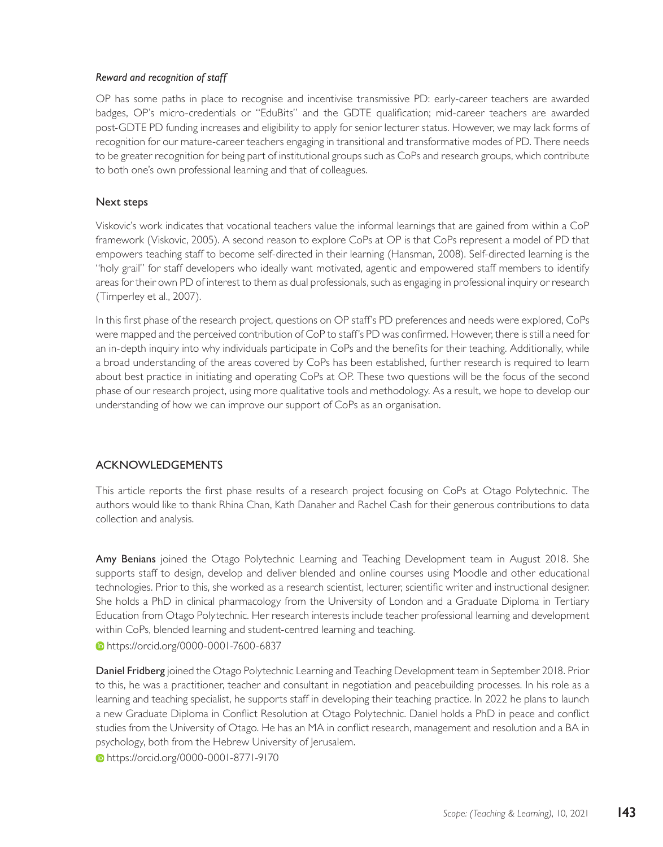#### *Reward and recognition of staff*

OP has some paths in place to recognise and incentivise transmissive PD: early-career teachers are awarded badges, OP's micro-credentials or "EduBits" and the GDTE qualification; mid-career teachers are awarded post-GDTE PD funding increases and eligibility to apply for senior lecturer status. However, we may lack forms of recognition for our mature-career teachers engaging in transitional and transformative modes of PD. There needs to be greater recognition for being part of institutional groups such as CoPs and research groups, which contribute to both one's own professional learning and that of colleagues.

#### Next steps

Viskovic's work indicates that vocational teachers value the informal learnings that are gained from within a CoP framework (Viskovic, 2005). A second reason to explore CoPs at OP is that CoPs represent a model of PD that empowers teaching staff to become self-directed in their learning (Hansman, 2008). Self-directed learning is the "holy grail" for staff developers who ideally want motivated, agentic and empowered staff members to identify areas for their own PD of interest to them as dual professionals, such as engaging in professional inquiry or research (Timperley et al., 2007).

In this first phase of the research project, questions on OP staff's PD preferences and needs were explored, CoPs were mapped and the perceived contribution of CoP to staff's PD was confirmed. However, there is still a need for an in-depth inquiry into why individuals participate in CoPs and the benefits for their teaching. Additionally, while a broad understanding of the areas covered by CoPs has been established, further research is required to learn about best practice in initiating and operating CoPs at OP. These two questions will be the focus of the second phase of our research project, using more qualitative tools and methodology. As a result, we hope to develop our understanding of how we can improve our support of CoPs as an organisation.

#### ACKNOWLEDGEMENTS

This article reports the first phase results of a research project focusing on CoPs at Otago Polytechnic. The authors would like to thank Rhina Chan, Kath Danaher and Rachel Cash for their generous contributions to data collection and analysis.

Amy Benians joined the Otago Polytechnic Learning and Teaching Development team in August 2018. She supports staff to design, develop and deliver blended and online courses using Moodle and other educational technologies. Prior to this, she worked as a research scientist, lecturer, scientific writer and instructional designer. She holds a PhD in clinical pharmacology from the University of London and a Graduate Diploma in Tertiary Education from Otago Polytechnic. Her research interests include teacher professional learning and development within CoPs, blended learning and student-centred learning and teaching.

https://orcid.org/0000-0001-7600-6837

Daniel Fridberg joined the Otago Polytechnic Learning and Teaching Development team in September 2018. Prior to this, he was a practitioner, teacher and consultant in negotiation and peacebuilding processes. In his role as a learning and teaching specialist, he supports staff in developing their teaching practice. In 2022 he plans to launch a new Graduate Diploma in Conflict Resolution at Otago Polytechnic. Daniel holds a PhD in peace and conflict studies from the University of Otago. He has an MA in conflict research, management and resolution and a BA in psychology, both from the Hebrew University of Jerusalem.

https://orcid.org/0000-0001-8771-9170